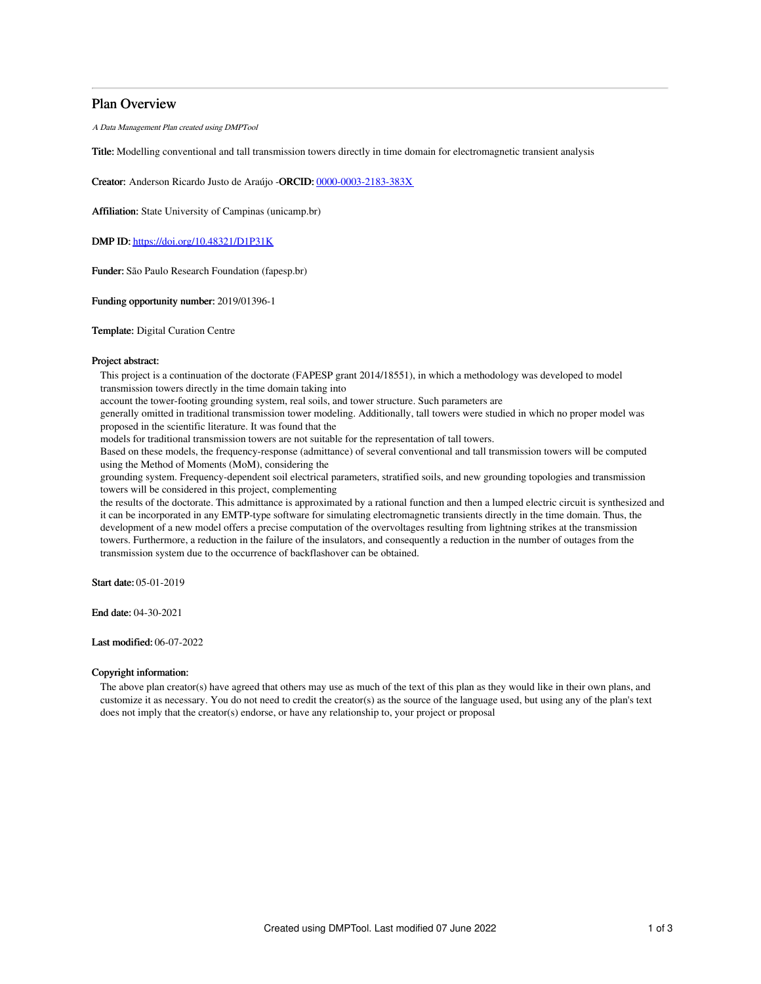# Plan Overview

A Data Management Plan created using DMPTool

Title: Modelling conventional and tall transmission towers directly in time domain for electromagnetic transient analysis

Creator: Anderson Ricardo Justo de Araújo -ORCID: [0000-0003-2183-383X](https://orcid.org/0000-0003-2183-383X)

Affiliation: State University of Campinas (unicamp.br)

DMP ID: <https://doi.org/10.48321/D1P31K>

Funder: São Paulo Research Foundation (fapesp.br)

Funding opportunity number: 2019/01396-1

Template: Digital Curation Centre

## Project abstract:

This project is a continuation of the doctorate (FAPESP grant 2014/18551), in which a methodology was developed to model transmission towers directly in the time domain taking into

account the tower-footing grounding system, real soils, and tower structure. Such parameters are

generally omitted in traditional transmission tower modeling. Additionally, tall towers were studied in which no proper model was proposed in the scientific literature. It was found that the

models for traditional transmission towers are not suitable for the representation of tall towers.

Based on these models, the frequency-response (admittance) of several conventional and tall transmission towers will be computed using the Method of Moments (MoM), considering the

grounding system. Frequency-dependent soil electrical parameters, stratified soils, and new grounding topologies and transmission towers will be considered in this project, complementing

the results of the doctorate. This admittance is approximated by a rational function and then a lumped electric circuit is synthesized and it can be incorporated in any EMTP-type software for simulating electromagnetic transients directly in the time domain. Thus, the development of a new model offers a precise computation of the overvoltages resulting from lightning strikes at the transmission towers. Furthermore, a reduction in the failure of the insulators, and consequently a reduction in the number of outages from the transmission system due to the occurrence of backflashover can be obtained.

Start date: 05-01-2019

End date: 04-30-2021

Last modified: 06-07-2022

### Copyright information:

The above plan creator(s) have agreed that others may use as much of the text of this plan as they would like in their own plans, and customize it as necessary. You do not need to credit the creator(s) as the source of the language used, but using any of the plan's text does not imply that the creator(s) endorse, or have any relationship to, your project or proposal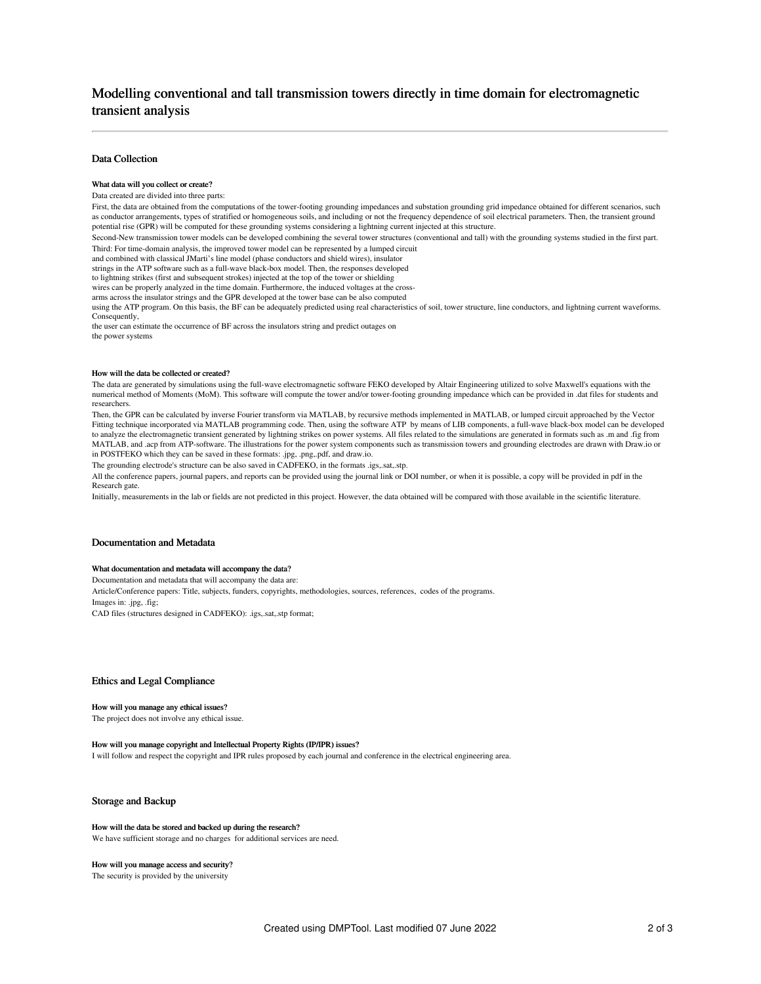# Modelling conventional and tall transmission towers directly in time domain for electromagnetic transient analysis

# Data Collection

### What data will you collect or create?

#### Data created are divided into three parts:

First, the data are obtained from the computations of the tower-footing grounding impedances and substation grounding grid impedance obtained for different scenarios, such as conductor arrangements, types of stratified or homogeneous soils, and including or not the frequency dependence of soil electrical parameters. Then, the transient ground potential rise (GPR) will be computed for these grounding systems considering a lightning current injected at this structure.

Second-New transmission tower models can be developed combining the several tower structures (conventional and tall) with the grounding systems studied in the first part. Third: For time-domain analysis, the improved tower model can be represented by a lumped circuit

and combined with classical JMarti's line model (phase conductors and shield wires), insulator

strings in the ATP software such as a full-wave black-box model. Then, the responses developed

to lightning strikes (first and subsequent strokes) injected at the top of the tower or shielding

wires can be properly analyzed in the time domain. Furthermore, the induced voltages at the cross-

arms across the insulator strings and the GPR developed at the tower base can be also computed

using the ATP program. On this basis, the BF can be adequately predicted using real characteristics of soil, tower structure, line conductors, and lightning current waveforms. Consequently,

the user can estimate the occurrence of BF across the insulators string and predict outages on

# the power systems

#### How will the data be collected or created?

The data are generated by simulations using the full-wave electromagnetic software FEKO developed by Altair Engineering utilized to solve Maxwell's equations with the numerical method of Moments (MoM). This software will compute the tower and/or tower-footing grounding impedance which can be provided in .dat files for students and researchers.

Then, the GPR can be calculated by inverse Fourier transform via MATLAB, by recursive methods implemented in MATLAB, or lumped circuit approached by the Vector Fitting technique incorporated via MATLAB programming code. Then, using the software ATP by means of LIB components, a full-wave black-box model can be developed to analyze the electromagnetic transient generated by lightning strikes on power systems. All files related to the simulations are generated in formats such as .m and .fig from MATLAB, and .acp from ATP-software. The illustrations for the power system components such as transmission towers and grounding electrodes are drawn with Draw.io or in POSTFEKO which they can be saved in these formats: .jpg, .png,.pdf, and draw.io.

The grounding electrode's structure can be also saved in CADFEKO, in the formats .igs,.sat,.stp.

All the conference papers, journal papers, and reports can be provided using the journal link or DOI number, or when it is possible, a copy will be provided in pdf in the Research gate.

Initially, measurements in the lab or fields are not predicted in this project. However, the data obtained will be compared with those available in the scientific literature.

# Documentation and Metadata

#### What documentation and metadata will accompany the data?

Documentation and metadata that will accompany the data are:

Article/Conference papers: Title, subjects, funders, copyrights, methodologies, sources, references, codes of the programs. Images in: .jpg, .fig; CAD files (structures designed in CADFEKO): .igs,.sat,.stp format;

### Ethics and Legal Compliance

#### How will you manage any ethical issues?

The project does not involve any ethical issue.

## How will you manage copyright and Intellectual Property Rights (IP/IPR) issues?

I will follow and respect the copyright and IPR rules proposed by each journal and conference in the electrical engineering area.

## Storage and Backup

#### How will the data be stored and backed up during the research?

We have sufficient storage and no charges for additional services are need.

#### How will you manage access and security?

The security is provided by the university